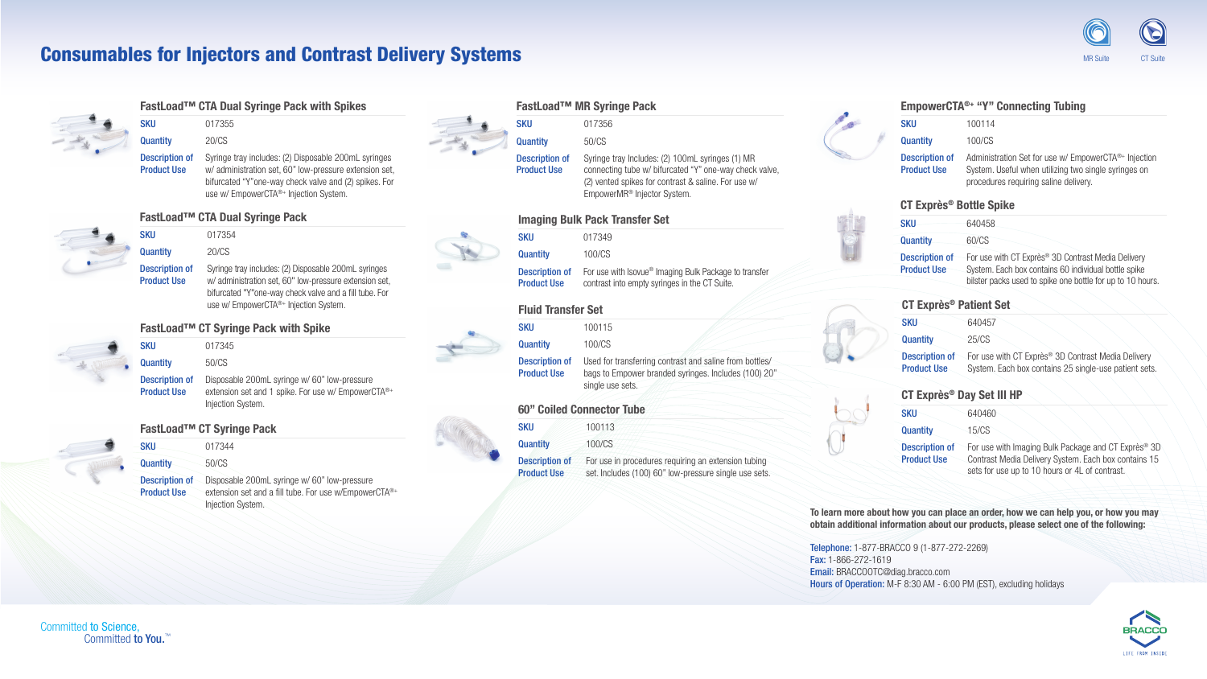

Committed **to You.**™





# Consumables for Injectors and Contrast Delivery Systems **Consumers and Contrast Delivery Systems** And CT Suite CT Suite



| FastLoad™ CTA Dual Syringe Pack with Spikes |  |  |  |  |  |  |
|---------------------------------------------|--|--|--|--|--|--|
|---------------------------------------------|--|--|--|--|--|--|

| SKU                                         | 017355                                                                                                                                                                                                                       |
|---------------------------------------------|------------------------------------------------------------------------------------------------------------------------------------------------------------------------------------------------------------------------------|
| <b>Quantity</b>                             | 20/CS                                                                                                                                                                                                                        |
| <b>Description of</b><br><b>Product Use</b> | Syringe tray includes: (2) Disposable 200mL syringes<br>w/administration set, 60" low-pressure extension set,<br>bifurcated "Y" one-way check valve and (2) spikes. For<br>use w/ EmpowerCTA <sup>®+</sup> Injection System. |



# FastLoad™ CT Syringe Pack with Spike

Description of Product Use

| <b>SKU</b>                                  | 017345                                                                                                                              |
|---------------------------------------------|-------------------------------------------------------------------------------------------------------------------------------------|
| <b>Quantity</b>                             | 50/CS                                                                                                                               |
| <b>Description of</b><br><b>Product Use</b> | Disposable 200mL syringe w/ 60" low-pressure<br>extension set and 1 spike. For use w/ EmpowerCTA <sup>®+</sup><br>Injection System. |

# FastLoad™ CT Syringe Pack

| <b>SKU</b>                                  | 017344                                                                                                                                 |
|---------------------------------------------|----------------------------------------------------------------------------------------------------------------------------------------|
| Quantity                                    | 50/CS                                                                                                                                  |
| <b>Description of</b><br><b>Product Use</b> | Disposable 200mL syringe w/ 60" low-pressure<br>extension set and a fill tube. For use w/EmpowerCTA <sup>®+</sup><br>Injection System. |

Fluid Transfer Set

```
SKU
```
**Quantity** 

| 100115                                                  |  |
|---------------------------------------------------------|--|
| 100/CS                                                  |  |
| Used for transferring contrast and saline from bottles/ |  |
| bags to Empower branded syringes. Includes (100) 20"    |  |

single use sets.



**Description of** Product Use

| <b>SKU</b>                                  | 100114                                                                                                                                               |
|---------------------------------------------|------------------------------------------------------------------------------------------------------------------------------------------------------|
| <b>Quantity</b>                             | 100/CS                                                                                                                                               |
| <b>Description of</b><br><b>Product Use</b> | Administration Set for use w/ EmpowerCTA <sup>®+</sup> I<br>System. Useful when utilizing two single syring<br>procedures requiring saline delivery. |

# 60" Coiled Connector Tube

**SKU** 100113

Quantity 100/CS

Description of Product Use



For use in procedures requiring an extension tubing set. Includes (100) 60" low-pressure single use sets.





# CT Exprès® Bottle Spike

Telephone: 1-877-BRACCO 9 (1-877-272-2269) Fax: 1-866-272-1619 Email: BRACCOOTC@diag.bracco.com Hours of Operation: M-F 8:30 AM - 6:00 PM (EST), excluding holidays









# Injection es on

0 hours.

elivery nt sets.

 $pr\grave{e}s^{\circledast}$  3D tains 15



| <b>SKU</b>         | 640458                                                         |
|--------------------|----------------------------------------------------------------|
| Quantity           | 60/CS                                                          |
| Description of     | For use with CT Exprès <sup>®</sup> 3D Contrast Media Delivery |
| <b>Product Use</b> | System. Each box contains 60 individual bottle spike           |
|                    | bilster packs used to spike one bottle for up to 10 hor        |

# CT Exprès® Day Set III HP

| <b>SKU</b>            | 640460                                         |
|-----------------------|------------------------------------------------|
| <b>Quantity</b>       | 15/CS                                          |
| <b>Description of</b> | For use with Imaging Bulk Package and CT Exp   |
| <b>Product Use</b>    | Contrast Media Delivery System. Each box cont  |
|                       | sets for use up to 10 hours or 4L of contrast. |

FastLoad™ CTA Dual Syringe Pack

| <b>SKU</b>                                  | 017354                                                                                                                                                                                                                        |
|---------------------------------------------|-------------------------------------------------------------------------------------------------------------------------------------------------------------------------------------------------------------------------------|
| <b>Quantity</b>                             | 20/CS                                                                                                                                                                                                                         |
| <b>Description of</b><br><b>Product Use</b> | Syringe tray includes: (2) Disposable 200mL syringes<br>w/administration set, 60" low-pressure extension set,<br>bifurcated "Y" one-way check valve and a fill tube. For<br>use w/ EmpowerCTA <sup>®+</sup> Injection System. |

## Imaging Bulk Pack Transfer Set

| 017349                                                                                                             |
|--------------------------------------------------------------------------------------------------------------------|
| 100/CS                                                                                                             |
| For use with Isovue <sup>®</sup> Imaging Bulk Package to transfer<br>contrast into empty syringes in the CT Suite. |
|                                                                                                                    |

# CT Exprès® Patient Set

| <b>SKU</b>         | 640457                                                                                                                          |
|--------------------|---------------------------------------------------------------------------------------------------------------------------------|
| <b>Quantity</b>    | 25/CS                                                                                                                           |
| <b>Product Use</b> | <b>Description of</b> For use with CT Expres <sup>®</sup> 3D Contrast Media De<br>System. Each box contains 25 single-use patie |

### FastLoad™ MR Syringe Pack

**SKU** 017356

Quantity 50/CS



# SKU



**Quantity** 

Syringe tray Includes: (2) 100mL syringes (1) MR connecting tube w/ bifurcated "Y" one-way check valve, (2) vented spikes for contrast & saline. For use w/ EmpowerMR® Injector System.

> To learn more about how you can place an order, how we can help you, or how you may obtain additional information about our products, please select one of the following: